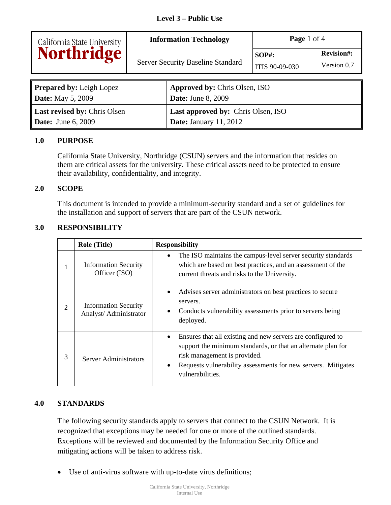| California State University<br>Northridge | <b>Information Technology</b>            | <b>Page</b> 1 of 4         |                                  |
|-------------------------------------------|------------------------------------------|----------------------------|----------------------------------|
|                                           | <b>Server Security Baseline Standard</b> | $SOP#$ :<br>ITIS 90-09-030 | <b>Revision#:</b><br>Version 0.7 |
|                                           |                                          |                            |                                  |

| <b>Prepared by:</b> Leigh Lopez     | <b>Approved by: Chris Olsen, ISO</b>      |
|-------------------------------------|-------------------------------------------|
| <b>Date:</b> May 5, 2009            | <b>Date:</b> June 8, 2009                 |
| <b>Last revised by: Chris Olsen</b> | <b>Last approved by: Chris Olsen, ISO</b> |
| <b>Date:</b> June 6, 2009           | <b>Date:</b> January $11, 2012$           |

### **1.0 PURPOSE**

California State University, Northridge (CSUN) servers and the information that resides on them are critical assets for the university. These critical assets need to be protected to ensure their availability, confidentiality, and integrity.

### **2.0 SCOPE**

This document is intended to provide a minimum-security standard and a set of guidelines for the installation and support of servers that are part of the CSUN network.

### **3.0 RESPONSIBILITY**

|   | <b>Role (Title)</b>                                   | <b>Responsibility</b>                                                                                                                                                                                                                                              |
|---|-------------------------------------------------------|--------------------------------------------------------------------------------------------------------------------------------------------------------------------------------------------------------------------------------------------------------------------|
|   | <b>Information Security</b><br>Officer (ISO)          | The ISO maintains the campus-level server security standards<br>$\bullet$<br>which are based on best practices, and an assessment of the<br>current threats and risks to the University.                                                                           |
| 2 | <b>Information Security</b><br>Analyst/ Administrator | Advises server administrators on best practices to secure<br>٠<br>servers.<br>Conducts vulnerability assessments prior to servers being<br>$\bullet$<br>deployed.                                                                                                  |
| 3 | <b>Server Administrators</b>                          | Ensures that all existing and new servers are configured to<br>٠<br>support the minimum standards, or that an alternate plan for<br>risk management is provided.<br>Requests vulnerability assessments for new servers. Mitigates<br>$\bullet$<br>vulnerabilities. |

### **4.0 STANDARDS**

The following security standards apply to servers that connect to the CSUN Network. It is recognized that exceptions may be needed for one or more of the outlined standards. Exceptions will be reviewed and documented by the Information Security Office and mitigating actions will be taken to address risk.

Use of anti-virus software with up-to-date virus definitions;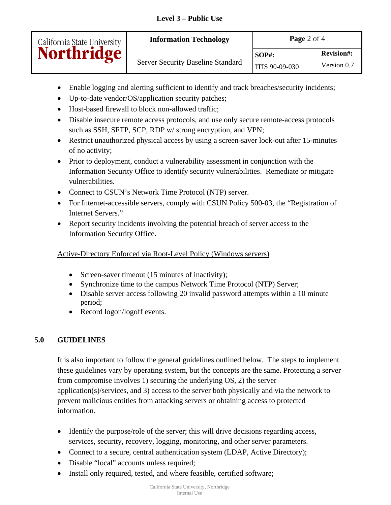| California State University | <b>Information Technology</b>            | <b>Page</b> 2 of 4 |                   |
|-----------------------------|------------------------------------------|--------------------|-------------------|
| <b>Northridge</b>           |                                          | $SOP#$ :           | <b>Revision#:</b> |
|                             | <b>Server Security Baseline Standard</b> | ITIS 90-09-030     | Version 0.7       |

- Enable logging and alerting sufficient to identify and track breaches/security incidents;
- Up-to-date vendor/OS/application security patches;
- Host-based firewall to block non-allowed traffic:
- Disable insecure remote access protocols, and use only secure remote-access protocols such as SSH, SFTP, SCP, RDP w/ strong encryption, and VPN;
- Restrict unauthorized physical access by using a screen-saver lock-out after 15-minutes of no activity;
- Prior to deployment, conduct a vulnerability assessment in conjunction with the Information Security Office to identify security vulnerabilities. Remediate or mitigate vulnerabilities.
- Connect to CSUN's Network Time Protocol (NTP) server.
- For Internet-accessible servers, comply with CSUN Policy 500-03, the "Registration of Internet Servers."
- Report security incidents involving the potential breach of server access to the Information Security Office.

# Active-Directory Enforced via Root-Level Policy (Windows servers)

- Screen-saver timeout (15 minutes of inactivity);
- Synchronize time to the campus Network Time Protocol (NTP) Server;
- Disable server access following 20 invalid password attempts within a 10 minute period;
- Record logon/logoff events.

# **5.0 GUIDELINES**

It is also important to follow the general guidelines outlined below. The steps to implement these guidelines vary by operating system, but the concepts are the same. Protecting a server from compromise involves 1) securing the underlying OS, 2) the server application(s)/services, and 3) access to the server both physically and via the network to prevent malicious entities from attacking servers or obtaining access to protected information.

- Identify the purpose/role of the server; this will drive decisions regarding access, services, security, recovery, logging, monitoring, and other server parameters.
- Connect to a secure, central authentication system (LDAP, Active Directory);
- Disable "local" accounts unless required;
- Install only required, tested, and where feasible, certified software;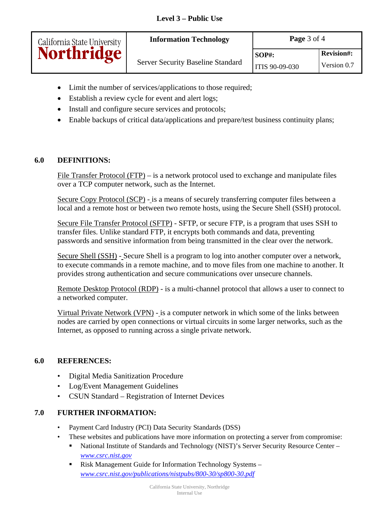| California State University | <b>Information Technology</b>            | <b>Page</b> $3$ of $4$ |                   |
|-----------------------------|------------------------------------------|------------------------|-------------------|
| <b>Northridge</b>           | <b>Server Security Baseline Standard</b> | $SOP#$ :               | <b>Revision#:</b> |
|                             |                                          | ITIS 90-09-030         | Version 0.7       |

- Limit the number of services/applications to those required;
- Establish a review cycle for event and alert logs;
- Install and configure secure services and protocols;
- Enable backups of critical data/applications and prepare/test business continuity plans;

## **6.0 DEFINITIONS:**

File Transfer Protocol (FTP) – is a network protocol used to exchange and manipulate files over a TCP computer network, such as the Internet.

Secure Copy Protocol (SCP) - is a means of securely transferring computer files between a local and a remote host or between two remote hosts, using the Secure Shell (SSH) protocol.

Secure File Transfer Protocol (SFTP) - SFTP, or secure FTP, is a program that uses SSH to transfer files. Unlike standard FTP, it encrypts both commands and data, preventing passwords and sensitive information from being transmitted in the clear over the network.

Secure Shell (SSH) - Secure Shell is a program to log into another computer over a network, to execute commands in a remote machine, and to move files from one machine to another. It provides strong authentication and secure communications over unsecure channels.

Remote Desktop Protocol (RDP) - is a multi-channel protocol that allows a user to connect to a networked computer.

Virtual Private Network (VPN) - is a computer network in which some of the links between nodes are carried by open connections or virtual circuits in some larger networks, such as the Internet, as opposed to running across a single private network.

### **6.0 REFERENCES:**

- Digital Media Sanitization Procedure
- Log/Event Management Guidelines
- CSUN Standard Registration of Internet Devices

### **7.0 FURTHER INFORMATION:**

- Payment Card Industry (PCI) Data Security Standards (DSS)
- These websites and publications have more information on protecting a server from compromise:
	- National Institute of Standards and Technology (NIST)'s Server Security Resource Center *www.csrc.nist.gov*
	- Risk Management Guide for Information Technology Systems *www.csrc.nist.gov/publications/nistpubs/800-30/sp800-30.pdf*